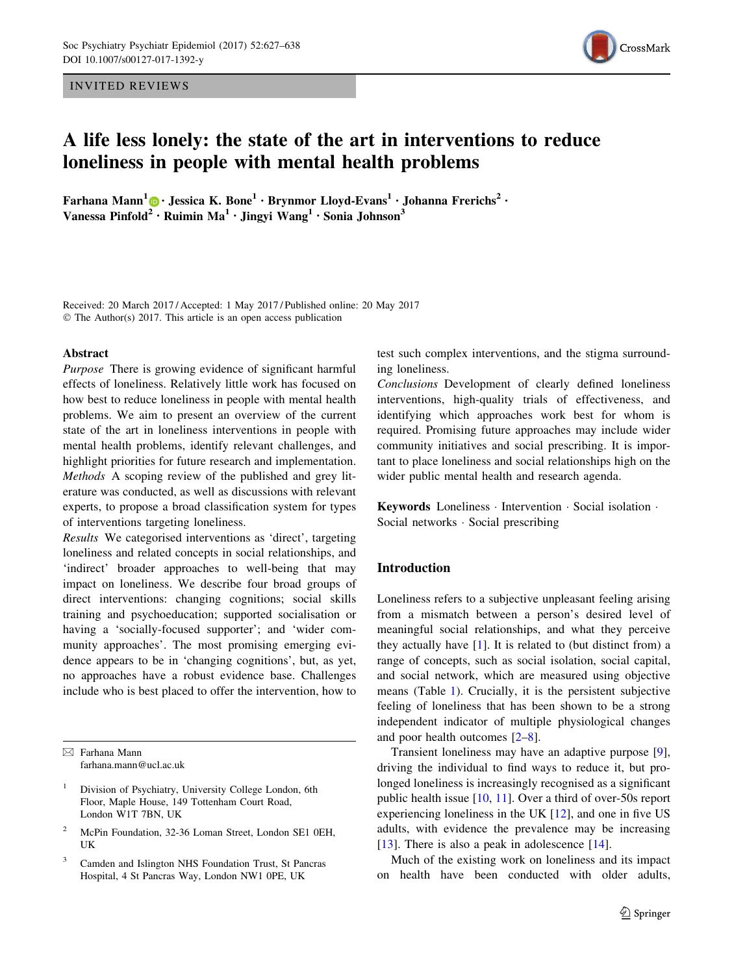INVITED REVIEWS



# A life less lonely: the state of the art in interventions to reduce loneliness in people with mental health problems

Farhana Mann<sup>1</sup> • Jessica K. Bone<sup>1</sup> • Brynmor Lloyd-Evans<sup>1</sup> • Johanna Frerichs<sup>2</sup> • Vanessa Pinfold<sup>[2](http://orcid.org/0000-0002-5890-0859)</sup> • Ruimin Ma<sup>1</sup> • Jingyi Wang<sup>1</sup> • Sonia Johnson<sup>3</sup>

Received: 20 March 2017 / Accepted: 1 May 2017 / Published online: 20 May 2017 © The Author(s) 2017. This article is an open access publication

#### Abstract

Purpose There is growing evidence of significant harmful effects of loneliness. Relatively little work has focused on how best to reduce loneliness in people with mental health problems. We aim to present an overview of the current state of the art in loneliness interventions in people with mental health problems, identify relevant challenges, and highlight priorities for future research and implementation. Methods A scoping review of the published and grey literature was conducted, as well as discussions with relevant experts, to propose a broad classification system for types of interventions targeting loneliness.

Results We categorised interventions as 'direct', targeting loneliness and related concepts in social relationships, and 'indirect' broader approaches to well-being that may impact on loneliness. We describe four broad groups of direct interventions: changing cognitions; social skills training and psychoeducation; supported socialisation or having a 'socially-focused supporter'; and 'wider community approaches'. The most promising emerging evidence appears to be in 'changing cognitions', but, as yet, no approaches have a robust evidence base. Challenges include who is best placed to offer the intervention, how to

- <sup>1</sup> Division of Psychiatry, University College London, 6th Floor, Maple House, 149 Tottenham Court Road, London W1T 7BN, UK
- <sup>2</sup> McPin Foundation, 32-36 Loman Street, London SE1 0EH, UK
- <sup>3</sup> Camden and Islington NHS Foundation Trust, St Pancras Hospital, 4 St Pancras Way, London NW1 0PE, UK

test such complex interventions, and the stigma surrounding loneliness.

Conclusions Development of clearly defined loneliness interventions, high-quality trials of effectiveness, and identifying which approaches work best for whom is required. Promising future approaches may include wider community initiatives and social prescribing. It is important to place loneliness and social relationships high on the wider public mental health and research agenda.

Keywords Loneliness - Intervention - Social isolation - Social networks - Social prescribing

## Introduction

Loneliness refers to a subjective unpleasant feeling arising from a mismatch between a person's desired level of meaningful social relationships, and what they perceive they actually have  $[1]$  $[1]$ . It is related to (but distinct from) a range of concepts, such as social isolation, social capital, and social network, which are measured using objective means (Table [1](#page-1-0)). Crucially, it is the persistent subjective feeling of loneliness that has been shown to be a strong independent indicator of multiple physiological changes and poor health outcomes [\[2–8](#page-9-0)].

Transient loneliness may have an adaptive purpose [\[9](#page-9-0)], driving the individual to find ways to reduce it, but prolonged loneliness is increasingly recognised as a significant public health issue [[10,](#page-9-0) [11](#page-9-0)]. Over a third of over-50s report experiencing loneliness in the UK [[12\]](#page-9-0), and one in five US adults, with evidence the prevalence may be increasing [\[13](#page-9-0)]. There is also a peak in adolescence [[14\]](#page-9-0).

Much of the existing work on loneliness and its impact on health have been conducted with older adults,

 $\boxtimes$  Farhana Mann farhana.mann@ucl.ac.uk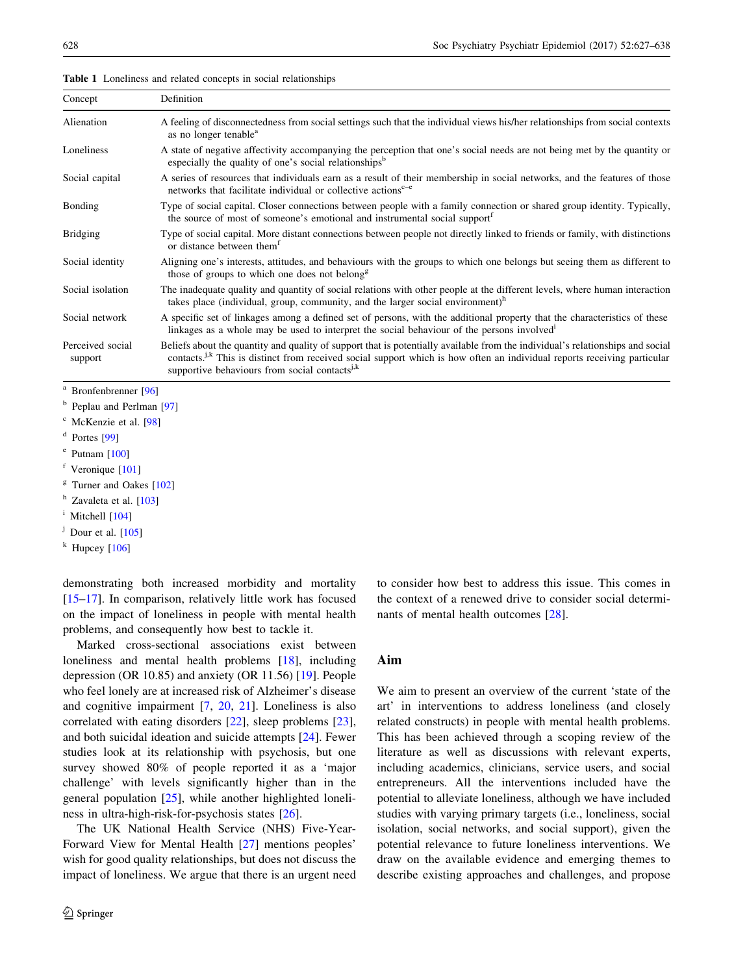| Concept                          | Definition                                                                                                                                                                                                                                                                                                                          |
|----------------------------------|-------------------------------------------------------------------------------------------------------------------------------------------------------------------------------------------------------------------------------------------------------------------------------------------------------------------------------------|
| Alienation                       | A feeling of disconnectedness from social settings such that the individual views his/her relationships from social contexts<br>as no longer tenable <sup>a</sup>                                                                                                                                                                   |
| Loneliness                       | A state of negative affectivity accompanying the perception that one's social needs are not being met by the quantity or<br>especially the quality of one's social relationships <sup>b</sup>                                                                                                                                       |
| Social capital                   | A series of resources that individuals earn as a result of their membership in social networks, and the features of those<br>networks that facilitate individual or collective actions <sup>c-e</sup>                                                                                                                               |
| Bonding                          | Type of social capital. Closer connections between people with a family connection or shared group identity. Typically,<br>the source of most of someone's emotional and instrumental social support <sup>t</sup>                                                                                                                   |
| <b>Bridging</b>                  | Type of social capital. More distant connections between people not directly linked to friends or family, with distinctions<br>or distance between them <sup>t</sup>                                                                                                                                                                |
| Social identity                  | Aligning one's interests, attitudes, and behaviours with the groups to which one belongs but seeing them as different to<br>those of groups to which one does not belong <sup>g</sup>                                                                                                                                               |
| Social isolation                 | The inadequate quality and quantity of social relations with other people at the different levels, where human interaction<br>takes place (individual, group, community, and the larger social environment) <sup>h</sup>                                                                                                            |
| Social network                   | A specific set of linkages among a defined set of persons, with the additional property that the characteristics of these<br>linkages as a whole may be used to interpret the social behaviour of the persons involved                                                                                                              |
| Perceived social<br>support      | Beliefs about the quantity and quality of support that is potentially available from the individual's relationships and social<br>contacts. <sup>j.k</sup> This is distinct from received social support which is how often an individual reports receiving particular<br>supportive behaviours from social contacts <sup>j,k</sup> |
| <sup>a</sup> Bronfenbrenner [96] |                                                                                                                                                                                                                                                                                                                                     |

<span id="page-1-0"></span>Table 1 Loneliness and related concepts in social relationships

<sup>b</sup> Peplau and Perlman [\[97\]](#page-11-0)

- <sup>c</sup> McKenzie et al. [\[98\]](#page-11-0)
- <sup>d</sup> Portes [\[99\]](#page-11-0)
- $^{\circ}$  Putnam [[100](#page-11-0)]

 $f$  Veronique [[101\]](#page-11-0)

<sup>h</sup> Zavaleta et al. [[103](#page-11-0)]

 $i$  Mitchell  $[104]$  $[104]$  $[104]$ 

- $j$  Dour et al. [\[105\]](#page-11-0)
- $k$  Hupcey [\[106](#page-11-0)]

demonstrating both increased morbidity and mortality [\[15–17](#page-9-0)]. In comparison, relatively little work has focused on the impact of loneliness in people with mental health problems, and consequently how best to tackle it.

Marked cross-sectional associations exist between loneliness and mental health problems [\[18](#page-9-0)], including depression (OR 10.85) and anxiety (OR 11.56) [[19\]](#page-9-0). People who feel lonely are at increased risk of Alzheimer's disease and cognitive impairment [\[7](#page-9-0), [20](#page-9-0), [21](#page-9-0)]. Loneliness is also correlated with eating disorders [[22](#page-9-0)], sleep problems [\[23](#page-9-0)], and both suicidal ideation and suicide attempts [[24\]](#page-9-0). Fewer studies look at its relationship with psychosis, but one survey showed 80% of people reported it as a 'major challenge' with levels significantly higher than in the general population [\[25](#page-9-0)], while another highlighted loneliness in ultra-high-risk-for-psychosis states [[26\]](#page-9-0).

The UK National Health Service (NHS) Five-Year-Forward View for Mental Health [\[27\]](#page-9-0) mentions peoples' wish for good quality relationships, but does not discuss the impact of loneliness. We argue that there is an urgent need to consider how best to address this issue. This comes in the context of a renewed drive to consider social determinants of mental health outcomes [[28\]](#page-9-0).

# Aim

We aim to present an overview of the current 'state of the art' in interventions to address loneliness (and closely related constructs) in people with mental health problems. This has been achieved through a scoping review of the literature as well as discussions with relevant experts, including academics, clinicians, service users, and social entrepreneurs. All the interventions included have the potential to alleviate loneliness, although we have included studies with varying primary targets (i.e., loneliness, social isolation, social networks, and social support), given the potential relevance to future loneliness interventions. We draw on the available evidence and emerging themes to describe existing approaches and challenges, and propose

 $g$  Turner and Oakes [\[102](#page-11-0)]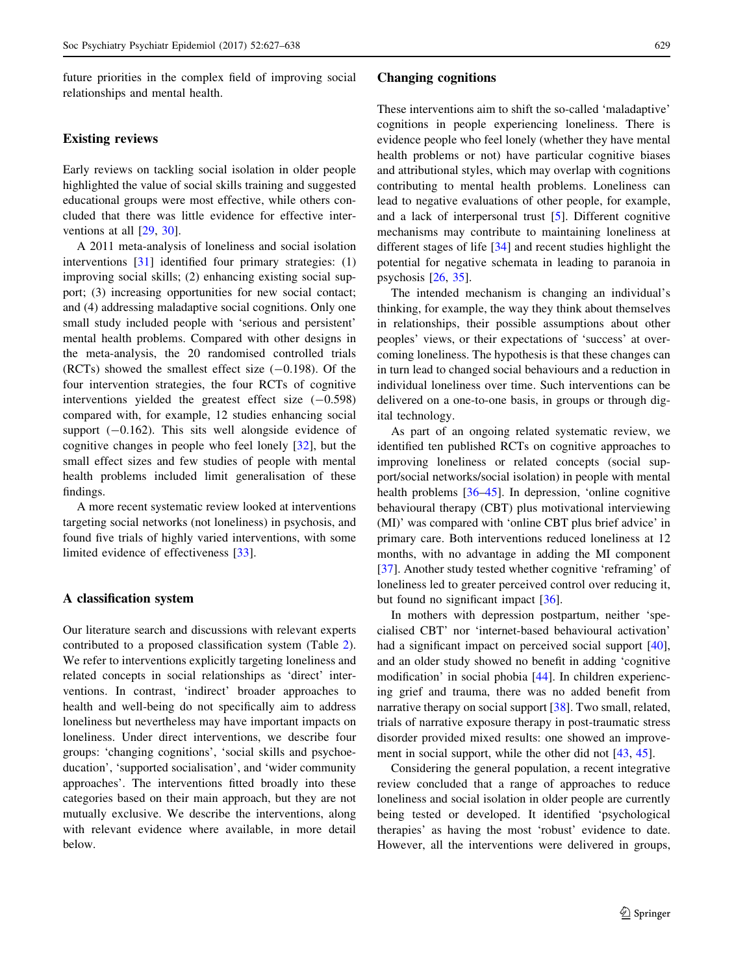future priorities in the complex field of improving social relationships and mental health.

# Existing reviews

Early reviews on tackling social isolation in older people highlighted the value of social skills training and suggested educational groups were most effective, while others concluded that there was little evidence for effective interventions at all [[29,](#page-9-0) [30](#page-9-0)].

A 2011 meta-analysis of loneliness and social isolation interventions [[31\]](#page-9-0) identified four primary strategies: (1) improving social skills; (2) enhancing existing social support; (3) increasing opportunities for new social contact; and (4) addressing maladaptive social cognitions. Only one small study included people with 'serious and persistent' mental health problems. Compared with other designs in the meta-analysis, the 20 randomised controlled trials  $(RCTs)$  showed the smallest effect size  $(-0.198)$ . Of the four intervention strategies, the four RCTs of cognitive interventions yielded the greatest effect size  $(-0.598)$ compared with, for example, 12 studies enhancing social support  $(-0.162)$ . This sits well alongside evidence of cognitive changes in people who feel lonely [\[32](#page-9-0)], but the small effect sizes and few studies of people with mental health problems included limit generalisation of these findings.

A more recent systematic review looked at interventions targeting social networks (not loneliness) in psychosis, and found five trials of highly varied interventions, with some limited evidence of effectiveness [\[33](#page-10-0)].

## A classification system

Our literature search and discussions with relevant experts contributed to a proposed classification system (Table [2](#page-3-0)). We refer to interventions explicitly targeting loneliness and related concepts in social relationships as 'direct' interventions. In contrast, 'indirect' broader approaches to health and well-being do not specifically aim to address loneliness but nevertheless may have important impacts on loneliness. Under direct interventions, we describe four groups: 'changing cognitions', 'social skills and psychoeducation', 'supported socialisation', and 'wider community approaches'. The interventions fitted broadly into these categories based on their main approach, but they are not mutually exclusive. We describe the interventions, along with relevant evidence where available, in more detail below.

## Changing cognitions

These interventions aim to shift the so-called 'maladaptive' cognitions in people experiencing loneliness. There is evidence people who feel lonely (whether they have mental health problems or not) have particular cognitive biases and attributional styles, which may overlap with cognitions contributing to mental health problems. Loneliness can lead to negative evaluations of other people, for example, and a lack of interpersonal trust [\[5](#page-9-0)]. Different cognitive mechanisms may contribute to maintaining loneliness at different stages of life [\[34\]](#page-10-0) and recent studies highlight the potential for negative schemata in leading to paranoia in psychosis [[26,](#page-9-0) [35](#page-10-0)].

The intended mechanism is changing an individual's thinking, for example, the way they think about themselves in relationships, their possible assumptions about other peoples' views, or their expectations of 'success' at overcoming loneliness. The hypothesis is that these changes can in turn lead to changed social behaviours and a reduction in individual loneliness over time. Such interventions can be delivered on a one-to-one basis, in groups or through digital technology.

As part of an ongoing related systematic review, we identified ten published RCTs on cognitive approaches to improving loneliness or related concepts (social support/social networks/social isolation) in people with mental health problems [[36–45\]](#page-10-0). In depression, 'online cognitive behavioural therapy (CBT) plus motivational interviewing (MI)' was compared with 'online CBT plus brief advice' in primary care. Both interventions reduced loneliness at 12 months, with no advantage in adding the MI component [\[37](#page-10-0)]. Another study tested whether cognitive 'reframing' of loneliness led to greater perceived control over reducing it, but found no significant impact [\[36](#page-10-0)].

In mothers with depression postpartum, neither 'specialised CBT' nor 'internet-based behavioural activation' had a significant impact on perceived social support [\[40](#page-10-0)], and an older study showed no benefit in adding 'cognitive modification' in social phobia [\[44](#page-10-0)]. In children experiencing grief and trauma, there was no added benefit from narrative therapy on social support [\[38](#page-10-0)]. Two small, related, trials of narrative exposure therapy in post-traumatic stress disorder provided mixed results: one showed an improvement in social support, while the other did not [[43,](#page-10-0) [45](#page-10-0)].

Considering the general population, a recent integrative review concluded that a range of approaches to reduce loneliness and social isolation in older people are currently being tested or developed. It identified 'psychological therapies' as having the most 'robust' evidence to date. However, all the interventions were delivered in groups,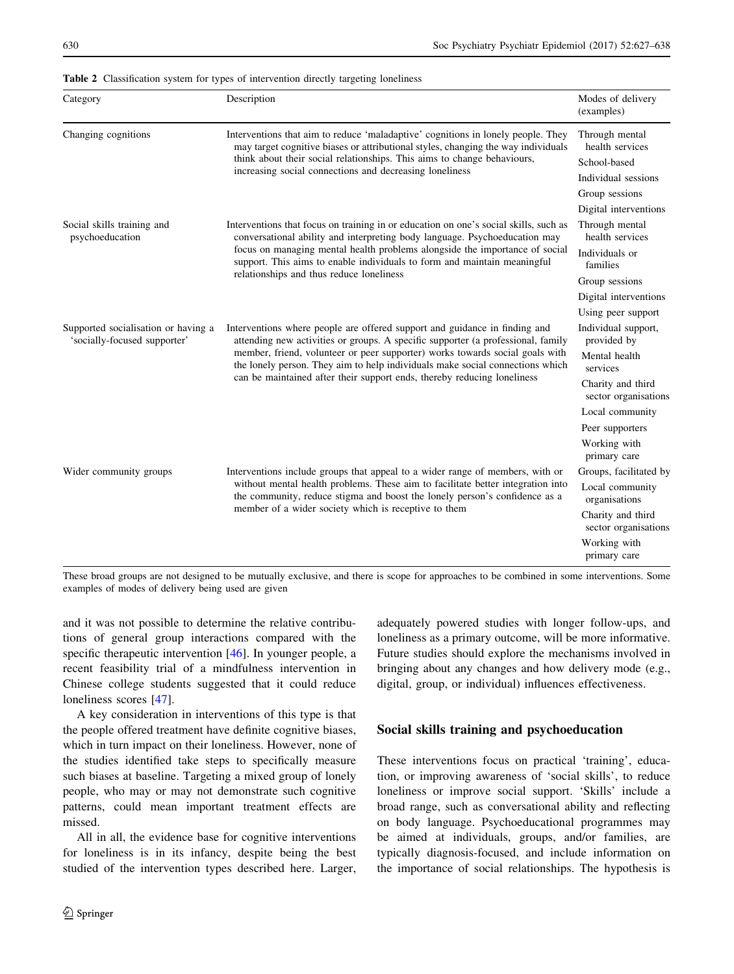| Category                                                            | Description                                                                                                                                                                                                                                                                                                                                                                                                | Modes of delivery<br>(examples)           |
|---------------------------------------------------------------------|------------------------------------------------------------------------------------------------------------------------------------------------------------------------------------------------------------------------------------------------------------------------------------------------------------------------------------------------------------------------------------------------------------|-------------------------------------------|
| Changing cognitions                                                 | Interventions that aim to reduce 'maladaptive' cognitions in lonely people. They<br>may target cognitive biases or attributional styles, changing the way individuals<br>think about their social relationships. This aims to change behaviours,<br>increasing social connections and decreasing loneliness                                                                                                | Through mental<br>health services         |
|                                                                     |                                                                                                                                                                                                                                                                                                                                                                                                            | School-based                              |
|                                                                     |                                                                                                                                                                                                                                                                                                                                                                                                            | Individual sessions                       |
|                                                                     |                                                                                                                                                                                                                                                                                                                                                                                                            | Group sessions                            |
|                                                                     |                                                                                                                                                                                                                                                                                                                                                                                                            | Digital interventions                     |
| Social skills training and<br>psychoeducation                       | Interventions that focus on training in or education on one's social skills, such as<br>conversational ability and interpreting body language. Psychoeducation may<br>focus on managing mental health problems alongside the importance of social<br>support. This aims to enable individuals to form and maintain meaningful<br>relationships and thus reduce loneliness                                  | Through mental<br>health services         |
|                                                                     |                                                                                                                                                                                                                                                                                                                                                                                                            | Individuals or<br>families                |
|                                                                     |                                                                                                                                                                                                                                                                                                                                                                                                            | Group sessions                            |
|                                                                     |                                                                                                                                                                                                                                                                                                                                                                                                            | Digital interventions                     |
|                                                                     |                                                                                                                                                                                                                                                                                                                                                                                                            | Using peer support                        |
| Supported socialisation or having a<br>'socially-focused supporter' | Interventions where people are offered support and guidance in finding and<br>attending new activities or groups. A specific supporter (a professional, family<br>member, friend, volunteer or peer supporter) works towards social goals with<br>the lonely person. They aim to help individuals make social connections which<br>can be maintained after their support ends, thereby reducing loneliness | Individual support,<br>provided by        |
|                                                                     |                                                                                                                                                                                                                                                                                                                                                                                                            | Mental health<br>services                 |
|                                                                     |                                                                                                                                                                                                                                                                                                                                                                                                            | Charity and third<br>sector organisations |
|                                                                     |                                                                                                                                                                                                                                                                                                                                                                                                            | Local community                           |
|                                                                     |                                                                                                                                                                                                                                                                                                                                                                                                            | Peer supporters                           |
|                                                                     |                                                                                                                                                                                                                                                                                                                                                                                                            | Working with<br>primary care              |
| Wider community groups                                              | Interventions include groups that appeal to a wider range of members, with or<br>without mental health problems. These aim to facilitate better integration into<br>the community, reduce stigma and boost the lonely person's confidence as a<br>member of a wider society which is receptive to them                                                                                                     | Groups, facilitated by                    |
|                                                                     |                                                                                                                                                                                                                                                                                                                                                                                                            | Local community<br>organisations          |
|                                                                     |                                                                                                                                                                                                                                                                                                                                                                                                            | Charity and third<br>sector organisations |
|                                                                     |                                                                                                                                                                                                                                                                                                                                                                                                            | Working with<br>primary care              |

<span id="page-3-0"></span>Table 2 Classification system for types of intervention directly targeting loneliness

These broad groups are not designed to be mutually exclusive, and there is scope for approaches to be combined in some interventions. Some examples of modes of delivery being used are given

and it was not possible to determine the relative contributions of general group interactions compared with the specific therapeutic intervention [[46\]](#page-10-0). In younger people, a recent feasibility trial of a mindfulness intervention in Chinese college students suggested that it could reduce loneliness scores [[47\]](#page-10-0).

A key consideration in interventions of this type is that the people offered treatment have definite cognitive biases, which in turn impact on their loneliness. However, none of the studies identified take steps to specifically measure such biases at baseline. Targeting a mixed group of lonely people, who may or may not demonstrate such cognitive patterns, could mean important treatment effects are missed.

All in all, the evidence base for cognitive interventions for loneliness is in its infancy, despite being the best studied of the intervention types described here. Larger,

adequately powered studies with longer follow-ups, and loneliness as a primary outcome, will be more informative. Future studies should explore the mechanisms involved in bringing about any changes and how delivery mode (e.g., digital, group, or individual) influences effectiveness.

# Social skills training and psychoeducation

These interventions focus on practical 'training', education, or improving awareness of 'social skills', to reduce loneliness or improve social support. 'Skills' include a broad range, such as conversational ability and reflecting on body language. Psychoeducational programmes may be aimed at individuals, groups, and/or families, are typically diagnosis-focused, and include information on the importance of social relationships. The hypothesis is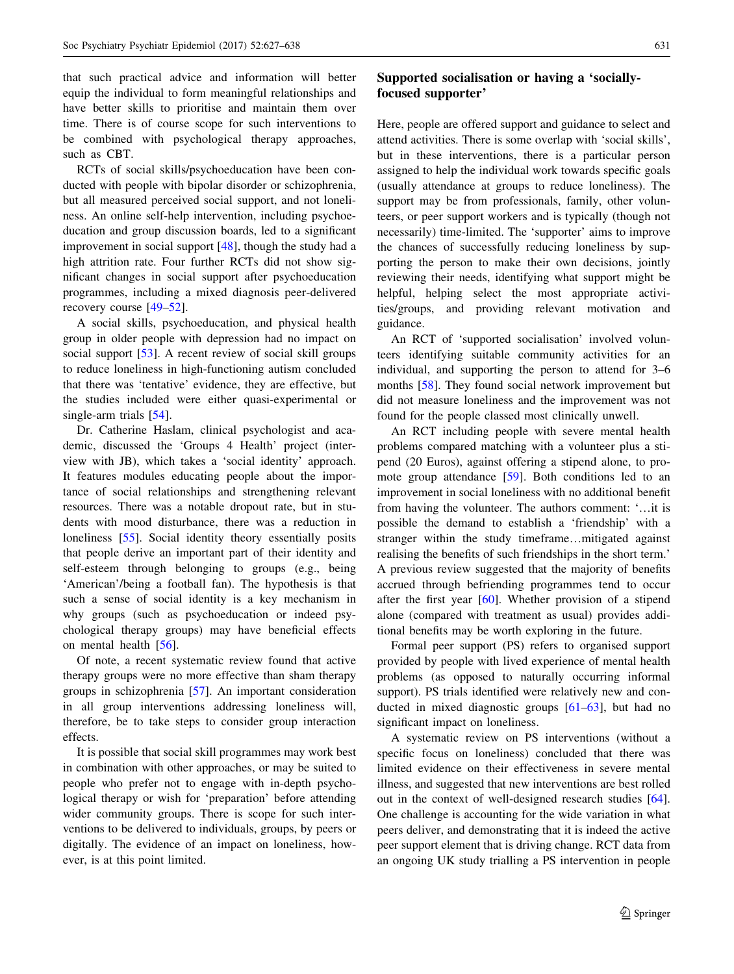that such practical advice and information will better equip the individual to form meaningful relationships and have better skills to prioritise and maintain them over time. There is of course scope for such interventions to be combined with psychological therapy approaches, such as CBT.

RCTs of social skills/psychoeducation have been conducted with people with bipolar disorder or schizophrenia, but all measured perceived social support, and not loneliness. An online self-help intervention, including psychoeducation and group discussion boards, led to a significant improvement in social support [[48\]](#page-10-0), though the study had a high attrition rate. Four further RCTs did not show significant changes in social support after psychoeducation programmes, including a mixed diagnosis peer-delivered recovery course [\[49–52](#page-10-0)].

A social skills, psychoeducation, and physical health group in older people with depression had no impact on social support [\[53](#page-10-0)]. A recent review of social skill groups to reduce loneliness in high-functioning autism concluded that there was 'tentative' evidence, they are effective, but the studies included were either quasi-experimental or single-arm trials [[54\]](#page-10-0).

Dr. Catherine Haslam, clinical psychologist and academic, discussed the 'Groups 4 Health' project (interview with JB), which takes a 'social identity' approach. It features modules educating people about the importance of social relationships and strengthening relevant resources. There was a notable dropout rate, but in students with mood disturbance, there was a reduction in loneliness [[55\]](#page-10-0). Social identity theory essentially posits that people derive an important part of their identity and self-esteem through belonging to groups (e.g., being 'American'/being a football fan). The hypothesis is that such a sense of social identity is a key mechanism in why groups (such as psychoeducation or indeed psychological therapy groups) may have beneficial effects on mental health [[56\]](#page-10-0).

Of note, a recent systematic review found that active therapy groups were no more effective than sham therapy groups in schizophrenia [[57\]](#page-10-0). An important consideration in all group interventions addressing loneliness will, therefore, be to take steps to consider group interaction effects.

It is possible that social skill programmes may work best in combination with other approaches, or may be suited to people who prefer not to engage with in-depth psychological therapy or wish for 'preparation' before attending wider community groups. There is scope for such interventions to be delivered to individuals, groups, by peers or digitally. The evidence of an impact on loneliness, however, is at this point limited.

# Supported socialisation or having a 'sociallyfocused supporter'

Here, people are offered support and guidance to select and attend activities. There is some overlap with 'social skills', but in these interventions, there is a particular person assigned to help the individual work towards specific goals (usually attendance at groups to reduce loneliness). The support may be from professionals, family, other volunteers, or peer support workers and is typically (though not necessarily) time-limited. The 'supporter' aims to improve the chances of successfully reducing loneliness by supporting the person to make their own decisions, jointly reviewing their needs, identifying what support might be helpful, helping select the most appropriate activities/groups, and providing relevant motivation and guidance.

An RCT of 'supported socialisation' involved volunteers identifying suitable community activities for an individual, and supporting the person to attend for 3–6 months [\[58](#page-10-0)]. They found social network improvement but did not measure loneliness and the improvement was not found for the people classed most clinically unwell.

An RCT including people with severe mental health problems compared matching with a volunteer plus a stipend (20 Euros), against offering a stipend alone, to promote group attendance [[59\]](#page-10-0). Both conditions led to an improvement in social loneliness with no additional benefit from having the volunteer. The authors comment: '…it is possible the demand to establish a 'friendship' with a stranger within the study timeframe…mitigated against realising the benefits of such friendships in the short term.' A previous review suggested that the majority of benefits accrued through befriending programmes tend to occur after the first year [\[60](#page-10-0)]. Whether provision of a stipend alone (compared with treatment as usual) provides additional benefits may be worth exploring in the future.

Formal peer support (PS) refers to organised support provided by people with lived experience of mental health problems (as opposed to naturally occurring informal support). PS trials identified were relatively new and conducted in mixed diagnostic groups [[61–63\]](#page-10-0), but had no significant impact on loneliness.

A systematic review on PS interventions (without a specific focus on loneliness) concluded that there was limited evidence on their effectiveness in severe mental illness, and suggested that new interventions are best rolled out in the context of well-designed research studies [\[64](#page-10-0)]. One challenge is accounting for the wide variation in what peers deliver, and demonstrating that it is indeed the active peer support element that is driving change. RCT data from an ongoing UK study trialling a PS intervention in people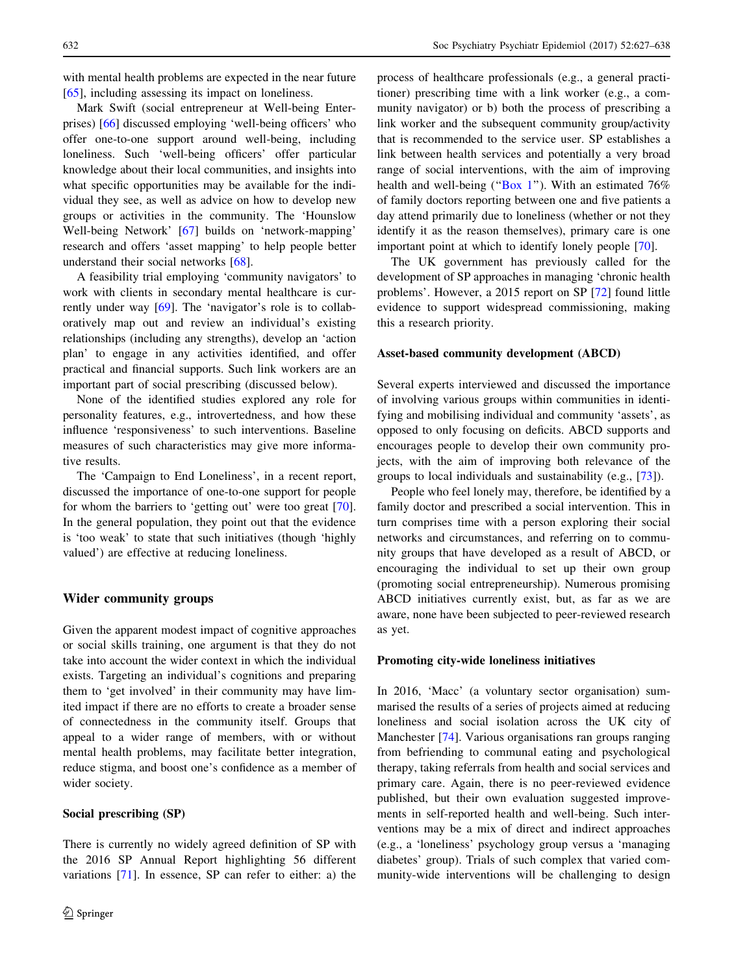with mental health problems are expected in the near future [\[65](#page-10-0)], including assessing its impact on loneliness.

Mark Swift (social entrepreneur at Well-being Enterprises) [[66\]](#page-10-0) discussed employing 'well-being officers' who offer one-to-one support around well-being, including loneliness. Such 'well-being officers' offer particular knowledge about their local communities, and insights into what specific opportunities may be available for the individual they see, as well as advice on how to develop new groups or activities in the community. The 'Hounslow Well-being Network' [\[67](#page-10-0)] builds on 'network-mapping' research and offers 'asset mapping' to help people better understand their social networks [[68\]](#page-10-0).

A feasibility trial employing 'community navigators' to work with clients in secondary mental healthcare is currently under way [[69\]](#page-10-0). The 'navigator's role is to collaboratively map out and review an individual's existing relationships (including any strengths), develop an 'action plan' to engage in any activities identified, and offer practical and financial supports. Such link workers are an important part of social prescribing (discussed below).

None of the identified studies explored any role for personality features, e.g., introvertedness, and how these influence 'responsiveness' to such interventions. Baseline measures of such characteristics may give more informative results.

The 'Campaign to End Loneliness', in a recent report, discussed the importance of one-to-one support for people for whom the barriers to 'getting out' were too great [\[70](#page-11-0)]. In the general population, they point out that the evidence is 'too weak' to state that such initiatives (though 'highly valued') are effective at reducing loneliness.

# Wider community groups

Given the apparent modest impact of cognitive approaches or social skills training, one argument is that they do not take into account the wider context in which the individual exists. Targeting an individual's cognitions and preparing them to 'get involved' in their community may have limited impact if there are no efforts to create a broader sense of connectedness in the community itself. Groups that appeal to a wider range of members, with or without mental health problems, may facilitate better integration, reduce stigma, and boost one's confidence as a member of wider society.

## Social prescribing (SP)

There is currently no widely agreed definition of SP with the 2016 SP Annual Report highlighting 56 different variations [[71\]](#page-11-0). In essence, SP can refer to either: a) the process of healthcare professionals (e.g., a general practitioner) prescribing time with a link worker (e.g., a community navigator) or b) both the process of prescribing a link worker and the subsequent community group/activity that is recommended to the service user. SP establishes a link between health services and potentially a very broad range of social interventions, with the aim of improving health and well-being ("Box 1"). With an estimated  $76\%$ of family doctors reporting between one and five patients a day attend primarily due to loneliness (whether or not they identify it as the reason themselves), primary care is one important point at which to identify lonely people [\[70](#page-11-0)].

The UK government has previously called for the development of SP approaches in managing 'chronic health problems'. However, a 2015 report on SP [[72\]](#page-11-0) found little evidence to support widespread commissioning, making this a research priority.

#### Asset-based community development (ABCD)

Several experts interviewed and discussed the importance of involving various groups within communities in identifying and mobilising individual and community 'assets', as opposed to only focusing on deficits. ABCD supports and encourages people to develop their own community projects, with the aim of improving both relevance of the groups to local individuals and sustainability (e.g., [[73\]](#page-11-0)).

People who feel lonely may, therefore, be identified by a family doctor and prescribed a social intervention. This in turn comprises time with a person exploring their social networks and circumstances, and referring on to community groups that have developed as a result of ABCD, or encouraging the individual to set up their own group (promoting social entrepreneurship). Numerous promising ABCD initiatives currently exist, but, as far as we are aware, none have been subjected to peer-reviewed research as yet.

#### Promoting city-wide loneliness initiatives

In 2016, 'Macc' (a voluntary sector organisation) summarised the results of a series of projects aimed at reducing loneliness and social isolation across the UK city of Manchester [[74\]](#page-11-0). Various organisations ran groups ranging from befriending to communal eating and psychological therapy, taking referrals from health and social services and primary care. Again, there is no peer-reviewed evidence published, but their own evaluation suggested improvements in self-reported health and well-being. Such interventions may be a mix of direct and indirect approaches (e.g., a 'loneliness' psychology group versus a 'managing diabetes' group). Trials of such complex that varied community-wide interventions will be challenging to design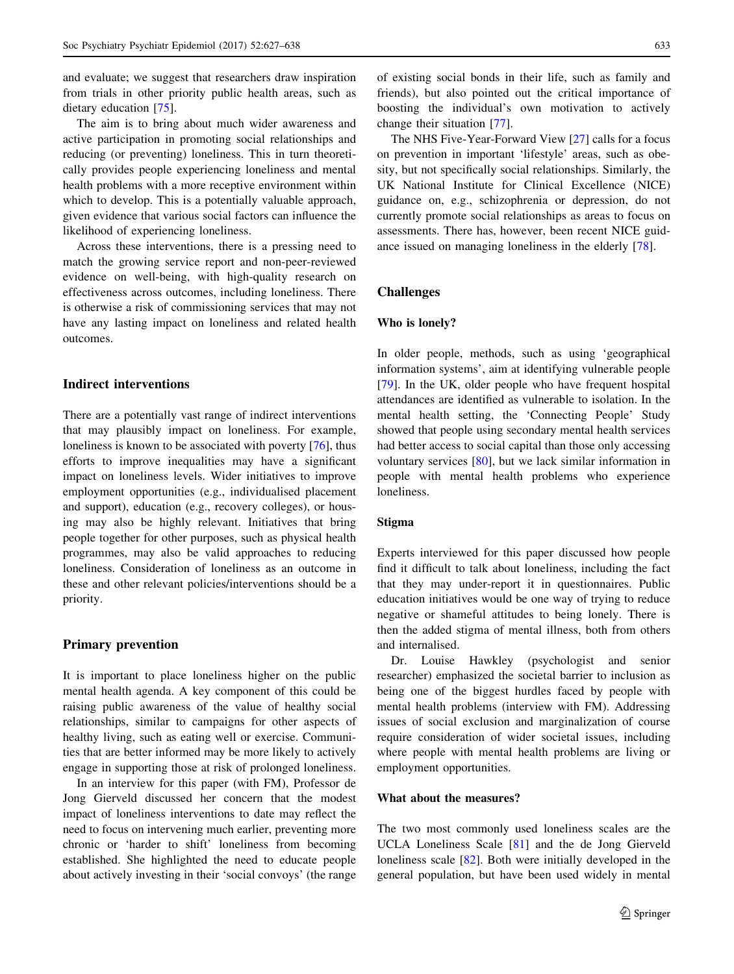and evaluate; we suggest that researchers draw inspiration from trials in other priority public health areas, such as dietary education [[75\]](#page-11-0).

The aim is to bring about much wider awareness and active participation in promoting social relationships and reducing (or preventing) loneliness. This in turn theoretically provides people experiencing loneliness and mental health problems with a more receptive environment within which to develop. This is a potentially valuable approach, given evidence that various social factors can influence the likelihood of experiencing loneliness.

Across these interventions, there is a pressing need to match the growing service report and non-peer-reviewed evidence on well-being, with high-quality research on effectiveness across outcomes, including loneliness. There is otherwise a risk of commissioning services that may not have any lasting impact on loneliness and related health outcomes.

# Indirect interventions

There are a potentially vast range of indirect interventions that may plausibly impact on loneliness. For example, loneliness is known to be associated with poverty [\[76](#page-11-0)], thus efforts to improve inequalities may have a significant impact on loneliness levels. Wider initiatives to improve employment opportunities (e.g., individualised placement and support), education (e.g., recovery colleges), or housing may also be highly relevant. Initiatives that bring people together for other purposes, such as physical health programmes, may also be valid approaches to reducing loneliness. Consideration of loneliness as an outcome in these and other relevant policies/interventions should be a priority.

# Primary prevention

It is important to place loneliness higher on the public mental health agenda. A key component of this could be raising public awareness of the value of healthy social relationships, similar to campaigns for other aspects of healthy living, such as eating well or exercise. Communities that are better informed may be more likely to actively engage in supporting those at risk of prolonged loneliness.

In an interview for this paper (with FM), Professor de Jong Gierveld discussed her concern that the modest impact of loneliness interventions to date may reflect the need to focus on intervening much earlier, preventing more chronic or 'harder to shift' loneliness from becoming established. She highlighted the need to educate people about actively investing in their 'social convoys' (the range of existing social bonds in their life, such as family and friends), but also pointed out the critical importance of boosting the individual's own motivation to actively change their situation [[77\]](#page-11-0).

The NHS Five-Year-Forward View [\[27](#page-9-0)] calls for a focus on prevention in important 'lifestyle' areas, such as obesity, but not specifically social relationships. Similarly, the UK National Institute for Clinical Excellence (NICE) guidance on, e.g., schizophrenia or depression, do not currently promote social relationships as areas to focus on assessments. There has, however, been recent NICE guidance issued on managing loneliness in the elderly [[78\]](#page-11-0).

### Challenges

#### Who is lonely?

In older people, methods, such as using 'geographical information systems', aim at identifying vulnerable people [\[79](#page-11-0)]. In the UK, older people who have frequent hospital attendances are identified as vulnerable to isolation. In the mental health setting, the 'Connecting People' Study showed that people using secondary mental health services had better access to social capital than those only accessing voluntary services [\[80](#page-11-0)], but we lack similar information in people with mental health problems who experience loneliness.

# Stigma

Experts interviewed for this paper discussed how people find it difficult to talk about loneliness, including the fact that they may under-report it in questionnaires. Public education initiatives would be one way of trying to reduce negative or shameful attitudes to being lonely. There is then the added stigma of mental illness, both from others and internalised.

Dr. Louise Hawkley (psychologist and senior researcher) emphasized the societal barrier to inclusion as being one of the biggest hurdles faced by people with mental health problems (interview with FM). Addressing issues of social exclusion and marginalization of course require consideration of wider societal issues, including where people with mental health problems are living or employment opportunities.

## What about the measures?

The two most commonly used loneliness scales are the UCLA Loneliness Scale [\[81](#page-11-0)] and the de Jong Gierveld loneliness scale [\[82](#page-11-0)]. Both were initially developed in the general population, but have been used widely in mental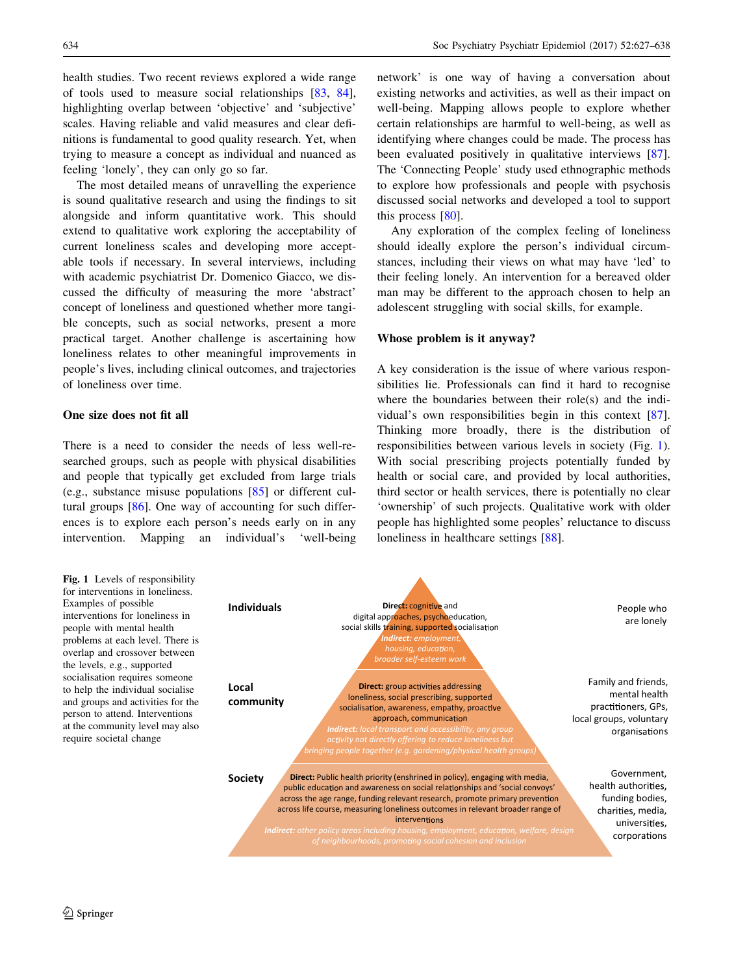health studies. Two recent reviews explored a wide range of tools used to measure social relationships [\[83](#page-11-0), [84](#page-11-0)], highlighting overlap between 'objective' and 'subjective' scales. Having reliable and valid measures and clear definitions is fundamental to good quality research. Yet, when trying to measure a concept as individual and nuanced as feeling 'lonely', they can only go so far.

The most detailed means of unravelling the experience is sound qualitative research and using the findings to sit alongside and inform quantitative work. This should extend to qualitative work exploring the acceptability of current loneliness scales and developing more acceptable tools if necessary. In several interviews, including with academic psychiatrist Dr. Domenico Giacco, we discussed the difficulty of measuring the more 'abstract' concept of loneliness and questioned whether more tangible concepts, such as social networks, present a more practical target. Another challenge is ascertaining how loneliness relates to other meaningful improvements in people's lives, including clinical outcomes, and trajectories of loneliness over time.

## One size does not fit all

There is a need to consider the needs of less well-researched groups, such as people with physical disabilities and people that typically get excluded from large trials (e.g., substance misuse populations [[85\]](#page-11-0) or different cultural groups [\[86](#page-11-0)]. One way of accounting for such differences is to explore each person's needs early on in any intervention. Mapping an individual's 'well-being

network' is one way of having a conversation about existing networks and activities, as well as their impact on well-being. Mapping allows people to explore whether certain relationships are harmful to well-being, as well as identifying where changes could be made. The process has been evaluated positively in qualitative interviews [\[87](#page-11-0)]. The 'Connecting People' study used ethnographic methods to explore how professionals and people with psychosis discussed social networks and developed a tool to support this process [[80](#page-11-0)].

Any exploration of the complex feeling of loneliness should ideally explore the person's individual circumstances, including their views on what may have 'led' to their feeling lonely. An intervention for a bereaved older man may be different to the approach chosen to help an adolescent struggling with social skills, for example.

#### Whose problem is it anyway?

A key consideration is the issue of where various responsibilities lie. Professionals can find it hard to recognise where the boundaries between their role(s) and the individual's own responsibilities begin in this context [\[87](#page-11-0)]. Thinking more broadly, there is the distribution of responsibilities between various levels in society (Fig. 1). With social prescribing projects potentially funded by health or social care, and provided by local authorities, third sector or health services, there is potentially no clear 'ownership' of such projects. Qualitative work with older people has highlighted some peoples' reluctance to discuss loneliness in healthcare settings [\[88](#page-11-0)].

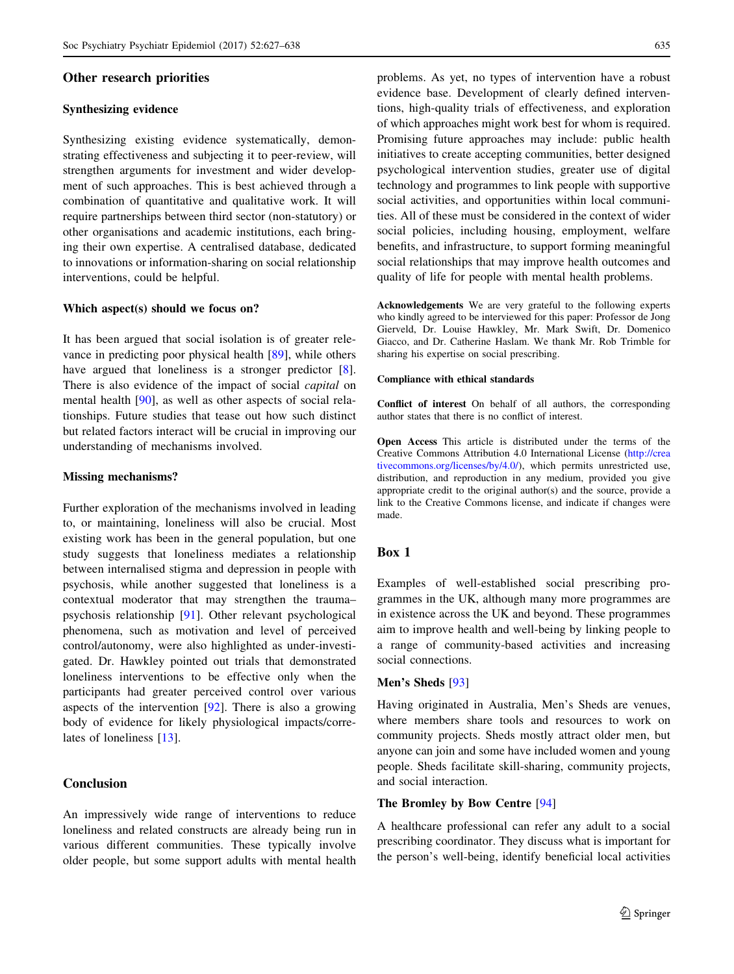# <span id="page-8-0"></span>Other research priorities

#### Synthesizing evidence

Synthesizing existing evidence systematically, demonstrating effectiveness and subjecting it to peer-review, will strengthen arguments for investment and wider development of such approaches. This is best achieved through a combination of quantitative and qualitative work. It will require partnerships between third sector (non-statutory) or other organisations and academic institutions, each bringing their own expertise. A centralised database, dedicated to innovations or information-sharing on social relationship interventions, could be helpful.

### Which aspect(s) should we focus on?

It has been argued that social isolation is of greater relevance in predicting poor physical health [[89\]](#page-11-0), while others have argued that loneliness is a stronger predictor [\[8](#page-9-0)]. There is also evidence of the impact of social *capital* on mental health [[90\]](#page-11-0), as well as other aspects of social relationships. Future studies that tease out how such distinct but related factors interact will be crucial in improving our understanding of mechanisms involved.

#### Missing mechanisms?

Further exploration of the mechanisms involved in leading to, or maintaining, loneliness will also be crucial. Most existing work has been in the general population, but one study suggests that loneliness mediates a relationship between internalised stigma and depression in people with psychosis, while another suggested that loneliness is a contextual moderator that may strengthen the trauma– psychosis relationship [\[91](#page-11-0)]. Other relevant psychological phenomena, such as motivation and level of perceived control/autonomy, were also highlighted as under-investigated. Dr. Hawkley pointed out trials that demonstrated loneliness interventions to be effective only when the participants had greater perceived control over various aspects of the intervention  $[92]$  $[92]$ . There is also a growing body of evidence for likely physiological impacts/correlates of loneliness [\[13](#page-9-0)].

# Conclusion

An impressively wide range of interventions to reduce loneliness and related constructs are already being run in various different communities. These typically involve older people, but some support adults with mental health problems. As yet, no types of intervention have a robust evidence base. Development of clearly defined interventions, high-quality trials of effectiveness, and exploration of which approaches might work best for whom is required. Promising future approaches may include: public health initiatives to create accepting communities, better designed psychological intervention studies, greater use of digital technology and programmes to link people with supportive social activities, and opportunities within local communities. All of these must be considered in the context of wider social policies, including housing, employment, welfare benefits, and infrastructure, to support forming meaningful social relationships that may improve health outcomes and quality of life for people with mental health problems.

Acknowledgements We are very grateful to the following experts who kindly agreed to be interviewed for this paper: Professor de Jong Gierveld, Dr. Louise Hawkley, Mr. Mark Swift, Dr. Domenico Giacco, and Dr. Catherine Haslam. We thank Mr. Rob Trimble for sharing his expertise on social prescribing.

#### Compliance with ethical standards

Conflict of interest On behalf of all authors, the corresponding author states that there is no conflict of interest.

Open Access This article is distributed under the terms of the Creative Commons Attribution 4.0 International License ([http://crea](http://creativecommons.org/licenses/by/4.0/) [tivecommons.org/licenses/by/4.0/\)](http://creativecommons.org/licenses/by/4.0/), which permits unrestricted use, distribution, and reproduction in any medium, provided you give appropriate credit to the original author(s) and the source, provide a link to the Creative Commons license, and indicate if changes were made.

# Box 1

Examples of well-established social prescribing programmes in the UK, although many more programmes are in existence across the UK and beyond. These programmes aim to improve health and well-being by linking people to a range of community-based activities and increasing social connections.

#### Men's Sheds [[93\]](#page-11-0)

Having originated in Australia, Men's Sheds are venues, where members share tools and resources to work on community projects. Sheds mostly attract older men, but anyone can join and some have included women and young people. Sheds facilitate skill-sharing, community projects, and social interaction.

# The Bromley by Bow Centre [\[94](#page-11-0)]

A healthcare professional can refer any adult to a social prescribing coordinator. They discuss what is important for the person's well-being, identify beneficial local activities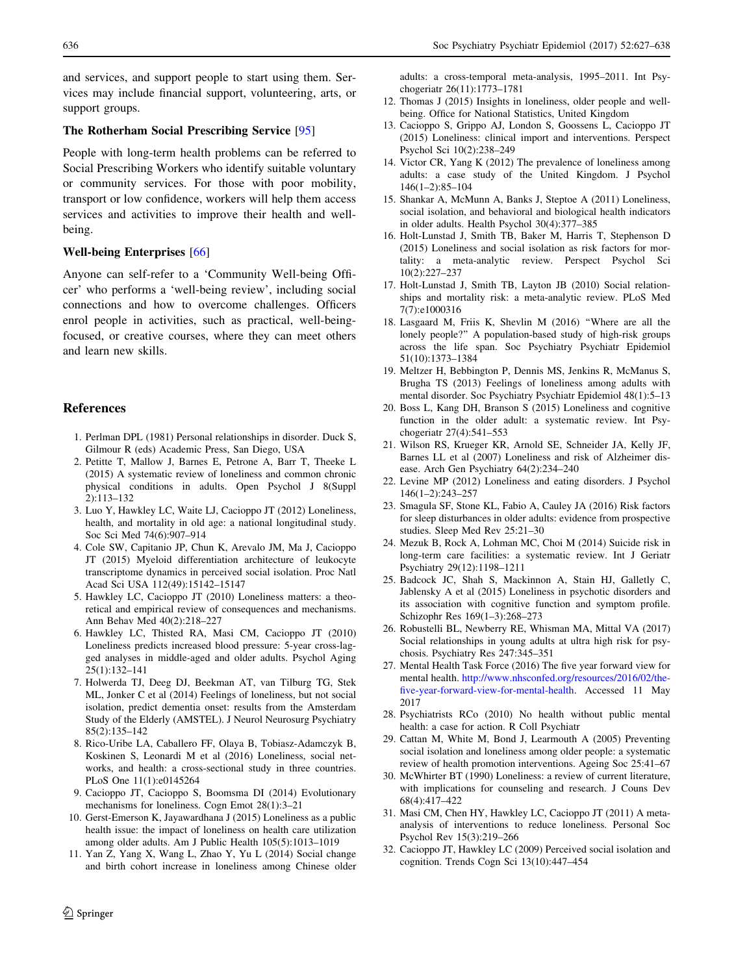<span id="page-9-0"></span>and services, and support people to start using them. Services may include financial support, volunteering, arts, or support groups.

#### The Rotherham Social Prescribing Service [[95\]](#page-11-0)

People with long-term health problems can be referred to Social Prescribing Workers who identify suitable voluntary or community services. For those with poor mobility, transport or low confidence, workers will help them access services and activities to improve their health and wellbeing.

#### Well-being Enterprises [\[66](#page-10-0)]

Anyone can self-refer to a 'Community Well-being Officer' who performs a 'well-being review', including social connections and how to overcome challenges. Officers enrol people in activities, such as practical, well-beingfocused, or creative courses, where they can meet others and learn new skills.

## References

- 1. Perlman DPL (1981) Personal relationships in disorder. Duck S, Gilmour R (eds) Academic Press, San Diego, USA
- 2. Petitte T, Mallow J, Barnes E, Petrone A, Barr T, Theeke L (2015) A systematic review of loneliness and common chronic physical conditions in adults. Open Psychol J 8(Suppl 2):113–132
- 3. Luo Y, Hawkley LC, Waite LJ, Cacioppo JT (2012) Loneliness, health, and mortality in old age: a national longitudinal study. Soc Sci Med 74(6):907–914
- 4. Cole SW, Capitanio JP, Chun K, Arevalo JM, Ma J, Cacioppo JT (2015) Myeloid differentiation architecture of leukocyte transcriptome dynamics in perceived social isolation. Proc Natl Acad Sci USA 112(49):15142–15147
- 5. Hawkley LC, Cacioppo JT (2010) Loneliness matters: a theoretical and empirical review of consequences and mechanisms. Ann Behav Med 40(2):218–227
- 6. Hawkley LC, Thisted RA, Masi CM, Cacioppo JT (2010) Loneliness predicts increased blood pressure: 5-year cross-lagged analyses in middle-aged and older adults. Psychol Aging 25(1):132–141
- 7. Holwerda TJ, Deeg DJ, Beekman AT, van Tilburg TG, Stek ML, Jonker C et al (2014) Feelings of loneliness, but not social isolation, predict dementia onset: results from the Amsterdam Study of the Elderly (AMSTEL). J Neurol Neurosurg Psychiatry 85(2):135–142
- 8. Rico-Uribe LA, Caballero FF, Olaya B, Tobiasz-Adamczyk B, Koskinen S, Leonardi M et al (2016) Loneliness, social networks, and health: a cross-sectional study in three countries. PLoS One 11(1):e0145264
- 9. Cacioppo JT, Cacioppo S, Boomsma DI (2014) Evolutionary mechanisms for loneliness. Cogn Emot 28(1):3–21
- 10. Gerst-Emerson K, Jayawardhana J (2015) Loneliness as a public health issue: the impact of loneliness on health care utilization among older adults. Am J Public Health 105(5):1013–1019
- 11. Yan Z, Yang X, Wang L, Zhao Y, Yu L (2014) Social change and birth cohort increase in loneliness among Chinese older

adults: a cross-temporal meta-analysis, 1995–2011. Int Psychogeriatr 26(11):1773–1781

- 12. Thomas J (2015) Insights in loneliness, older people and wellbeing. Office for National Statistics, United Kingdom
- 13. Cacioppo S, Grippo AJ, London S, Goossens L, Cacioppo JT (2015) Loneliness: clinical import and interventions. Perspect Psychol Sci 10(2):238–249
- 14. Victor CR, Yang K (2012) The prevalence of loneliness among adults: a case study of the United Kingdom. J Psychol 146(1–2):85–104
- 15. Shankar A, McMunn A, Banks J, Steptoe A (2011) Loneliness, social isolation, and behavioral and biological health indicators in older adults. Health Psychol 30(4):377–385
- 16. Holt-Lunstad J, Smith TB, Baker M, Harris T, Stephenson D (2015) Loneliness and social isolation as risk factors for mortality: a meta-analytic review. Perspect Psychol Sci 10(2):227–237
- 17. Holt-Lunstad J, Smith TB, Layton JB (2010) Social relationships and mortality risk: a meta-analytic review. PLoS Med 7(7):e1000316
- 18. Lasgaard M, Friis K, Shevlin M (2016) ''Where are all the lonely people?'' A population-based study of high-risk groups across the life span. Soc Psychiatry Psychiatr Epidemiol 51(10):1373–1384
- 19. Meltzer H, Bebbington P, Dennis MS, Jenkins R, McManus S, Brugha TS (2013) Feelings of loneliness among adults with mental disorder. Soc Psychiatry Psychiatr Epidemiol 48(1):5–13
- 20. Boss L, Kang DH, Branson S (2015) Loneliness and cognitive function in the older adult: a systematic review. Int Psychogeriatr 27(4):541–553
- 21. Wilson RS, Krueger KR, Arnold SE, Schneider JA, Kelly JF, Barnes LL et al (2007) Loneliness and risk of Alzheimer disease. Arch Gen Psychiatry 64(2):234–240
- 22. Levine MP (2012) Loneliness and eating disorders. J Psychol  $146(1-2):243-257$
- 23. Smagula SF, Stone KL, Fabio A, Cauley JA (2016) Risk factors for sleep disturbances in older adults: evidence from prospective studies. Sleep Med Rev 25:21–30
- 24. Mezuk B, Rock A, Lohman MC, Choi M (2014) Suicide risk in long-term care facilities: a systematic review. Int J Geriatr Psychiatry 29(12):1198–1211
- 25. Badcock JC, Shah S, Mackinnon A, Stain HJ, Galletly C, Jablensky A et al (2015) Loneliness in psychotic disorders and its association with cognitive function and symptom profile. Schizophr Res 169(1–3):268–273
- 26. Robustelli BL, Newberry RE, Whisman MA, Mittal VA (2017) Social relationships in young adults at ultra high risk for psychosis. Psychiatry Res 247:345–351
- 27. Mental Health Task Force (2016) The five year forward view for mental health. [http://www.nhsconfed.org/resources/2016/02/the](http://www.nhsconfed.org/resources/2016/02/the-five-year-forward-view-for-mental-health)[five-year-forward-view-for-mental-health](http://www.nhsconfed.org/resources/2016/02/the-five-year-forward-view-for-mental-health). Accessed 11 May 2017
- 28. Psychiatrists RCo (2010) No health without public mental health: a case for action. R Coll Psychiatr
- 29. Cattan M, White M, Bond J, Learmouth A (2005) Preventing social isolation and loneliness among older people: a systematic review of health promotion interventions. Ageing Soc 25:41–67
- 30. McWhirter BT (1990) Loneliness: a review of current literature, with implications for counseling and research. J Couns Dev 68(4):417–422
- 31. Masi CM, Chen HY, Hawkley LC, Cacioppo JT (2011) A metaanalysis of interventions to reduce loneliness. Personal Soc Psychol Rev 15(3):219–266
- 32. Cacioppo JT, Hawkley LC (2009) Perceived social isolation and cognition. Trends Cogn Sci 13(10):447–454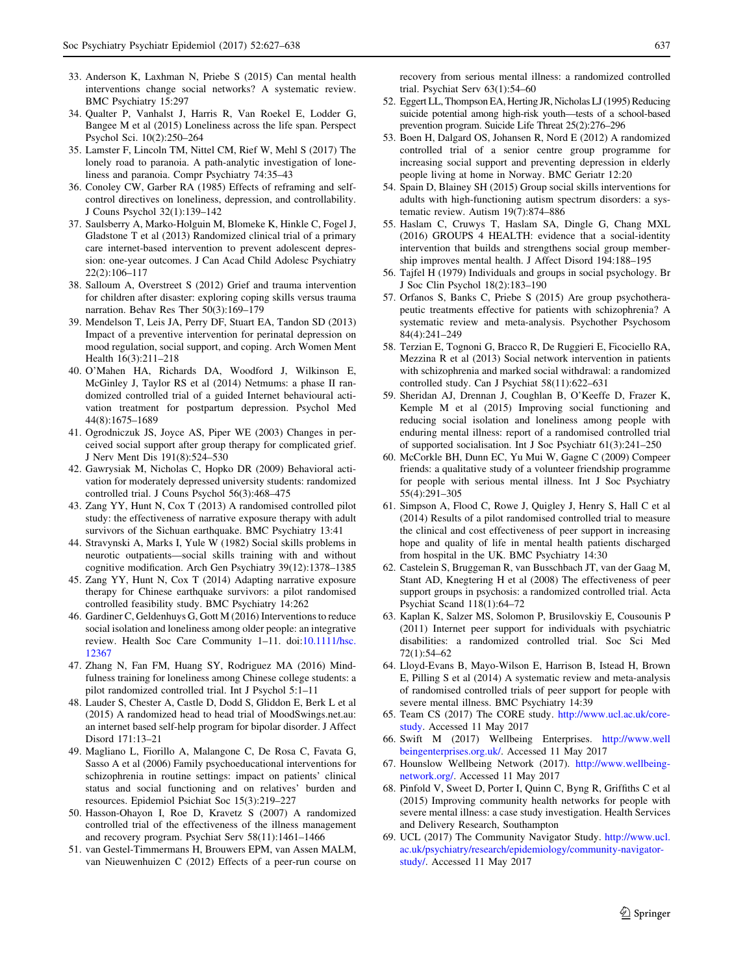- <span id="page-10-0"></span>33. Anderson K, Laxhman N, Priebe S (2015) Can mental health interventions change social networks? A systematic review. BMC Psychiatry 15:297
- 34. Qualter P, Vanhalst J, Harris R, Van Roekel E, Lodder G, Bangee M et al (2015) Loneliness across the life span. Perspect Psychol Sci. 10(2):250–264
- 35. Lamster F, Lincoln TM, Nittel CM, Rief W, Mehl S (2017) The lonely road to paranoia. A path-analytic investigation of loneliness and paranoia. Compr Psychiatry 74:35–43
- 36. Conoley CW, Garber RA (1985) Effects of reframing and selfcontrol directives on loneliness, depression, and controllability. J Couns Psychol 32(1):139–142
- 37. Saulsberry A, Marko-Holguin M, Blomeke K, Hinkle C, Fogel J, Gladstone T et al (2013) Randomized clinical trial of a primary care internet-based intervention to prevent adolescent depression: one-year outcomes. J Can Acad Child Adolesc Psychiatry 22(2):106–117
- 38. Salloum A, Overstreet S (2012) Grief and trauma intervention for children after disaster: exploring coping skills versus trauma narration. Behav Res Ther 50(3):169–179
- 39. Mendelson T, Leis JA, Perry DF, Stuart EA, Tandon SD (2013) Impact of a preventive intervention for perinatal depression on mood regulation, social support, and coping. Arch Women Ment Health 16(3):211–218
- 40. O'Mahen HA, Richards DA, Woodford J, Wilkinson E, McGinley J, Taylor RS et al (2014) Netmums: a phase II randomized controlled trial of a guided Internet behavioural activation treatment for postpartum depression. Psychol Med 44(8):1675–1689
- 41. Ogrodniczuk JS, Joyce AS, Piper WE (2003) Changes in perceived social support after group therapy for complicated grief. J Nerv Ment Dis 191(8):524–530
- 42. Gawrysiak M, Nicholas C, Hopko DR (2009) Behavioral activation for moderately depressed university students: randomized controlled trial. J Couns Psychol 56(3):468–475
- 43. Zang YY, Hunt N, Cox T (2013) A randomised controlled pilot study: the effectiveness of narrative exposure therapy with adult survivors of the Sichuan earthquake. BMC Psychiatry 13:41
- 44. Stravynski A, Marks I, Yule W (1982) Social skills problems in neurotic outpatients—social skills training with and without cognitive modification. Arch Gen Psychiatry 39(12):1378–1385
- 45. Zang YY, Hunt N, Cox T (2014) Adapting narrative exposure therapy for Chinese earthquake survivors: a pilot randomised controlled feasibility study. BMC Psychiatry 14:262
- 46. Gardiner C, Geldenhuys G, Gott M (2016) Interventions to reduce social isolation and loneliness among older people: an integrative review. Health Soc Care Community 1–11. doi:[10.1111/hsc.](http://dx.doi.org/10.1111/hsc.12367) [12367](http://dx.doi.org/10.1111/hsc.12367)
- 47. Zhang N, Fan FM, Huang SY, Rodriguez MA (2016) Mindfulness training for loneliness among Chinese college students: a pilot randomized controlled trial. Int J Psychol 5:1–11
- 48. Lauder S, Chester A, Castle D, Dodd S, Gliddon E, Berk L et al (2015) A randomized head to head trial of MoodSwings.net.au: an internet based self-help program for bipolar disorder. J Affect Disord 171:13–21
- 49. Magliano L, Fiorillo A, Malangone C, De Rosa C, Favata G, Sasso A et al (2006) Family psychoeducational interventions for schizophrenia in routine settings: impact on patients' clinical status and social functioning and on relatives' burden and resources. Epidemiol Psichiat Soc 15(3):219–227
- 50. Hasson-Ohayon I, Roe D, Kravetz S (2007) A randomized controlled trial of the effectiveness of the illness management and recovery program. Psychiat Serv 58(11):1461–1466
- 51. van Gestel-Timmermans H, Brouwers EPM, van Assen MALM, van Nieuwenhuizen C (2012) Effects of a peer-run course on

recovery from serious mental illness: a randomized controlled trial. Psychiat Serv 63(1):54–60

- 52. Eggert LL, Thompson EA, Herting JR, Nicholas LJ (1995) Reducing suicide potential among high-risk youth—tests of a school-based prevention program. Suicide Life Threat 25(2):276–296
- 53. Boen H, Dalgard OS, Johansen R, Nord E (2012) A randomized controlled trial of a senior centre group programme for increasing social support and preventing depression in elderly people living at home in Norway. BMC Geriatr 12:20
- 54. Spain D, Blainey SH (2015) Group social skills interventions for adults with high-functioning autism spectrum disorders: a systematic review. Autism 19(7):874–886
- 55. Haslam C, Cruwys T, Haslam SA, Dingle G, Chang MXL (2016) GROUPS 4 HEALTH: evidence that a social-identity intervention that builds and strengthens social group membership improves mental health. J Affect Disord 194:188–195
- 56. Tajfel H (1979) Individuals and groups in social psychology. Br J Soc Clin Psychol 18(2):183–190
- 57. Orfanos S, Banks C, Priebe S (2015) Are group psychotherapeutic treatments effective for patients with schizophrenia? A systematic review and meta-analysis. Psychother Psychosom 84(4):241–249
- 58. Terzian E, Tognoni G, Bracco R, De Ruggieri E, Ficociello RA, Mezzina R et al (2013) Social network intervention in patients with schizophrenia and marked social withdrawal: a randomized controlled study. Can J Psychiat 58(11):622–631
- 59. Sheridan AJ, Drennan J, Coughlan B, O'Keeffe D, Frazer K, Kemple M et al (2015) Improving social functioning and reducing social isolation and loneliness among people with enduring mental illness: report of a randomised controlled trial of supported socialisation. Int J Soc Psychiatr 61(3):241–250
- 60. McCorkle BH, Dunn EC, Yu Mui W, Gagne C (2009) Compeer friends: a qualitative study of a volunteer friendship programme for people with serious mental illness. Int J Soc Psychiatry 55(4):291–305
- 61. Simpson A, Flood C, Rowe J, Quigley J, Henry S, Hall C et al (2014) Results of a pilot randomised controlled trial to measure the clinical and cost effectiveness of peer support in increasing hope and quality of life in mental health patients discharged from hospital in the UK. BMC Psychiatry 14:30
- 62. Castelein S, Bruggeman R, van Busschbach JT, van der Gaag M, Stant AD, Knegtering H et al (2008) The effectiveness of peer support groups in psychosis: a randomized controlled trial. Acta Psychiat Scand 118(1):64–72
- 63. Kaplan K, Salzer MS, Solomon P, Brusilovskiy E, Cousounis P (2011) Internet peer support for individuals with psychiatric disabilities: a randomized controlled trial. Soc Sci Med 72(1):54–62
- 64. Lloyd-Evans B, Mayo-Wilson E, Harrison B, Istead H, Brown E, Pilling S et al (2014) A systematic review and meta-analysis of randomised controlled trials of peer support for people with severe mental illness. BMC Psychiatry 14:39
- 65. Team CS (2017) The CORE study. [http://www.ucl.ac.uk/core](http://www.ucl.ac.uk/core-study)[study.](http://www.ucl.ac.uk/core-study) Accessed 11 May 2017
- 66. Swift M (2017) Wellbeing Enterprises. [http://www.well](http://www.wellbeingenterprises.org.uk/) [beingenterprises.org.uk/.](http://www.wellbeingenterprises.org.uk/) Accessed 11 May 2017
- 67. Hounslow Wellbeing Network (2017). [http://www.wellbeing](http://www.wellbeing-network.org/)[network.org/](http://www.wellbeing-network.org/). Accessed 11 May 2017
- 68. Pinfold V, Sweet D, Porter I, Quinn C, Byng R, Griffiths C et al (2015) Improving community health networks for people with severe mental illness: a case study investigation. Health Services and Delivery Research, Southampton
- 69. UCL (2017) The Community Navigator Study. [http://www.ucl.](http://www.ucl.ac.uk/psychiatry/research/epidemiology/community-navigator-study/) [ac.uk/psychiatry/research/epidemiology/community-navigator](http://www.ucl.ac.uk/psychiatry/research/epidemiology/community-navigator-study/)[study/](http://www.ucl.ac.uk/psychiatry/research/epidemiology/community-navigator-study/). Accessed 11 May 2017